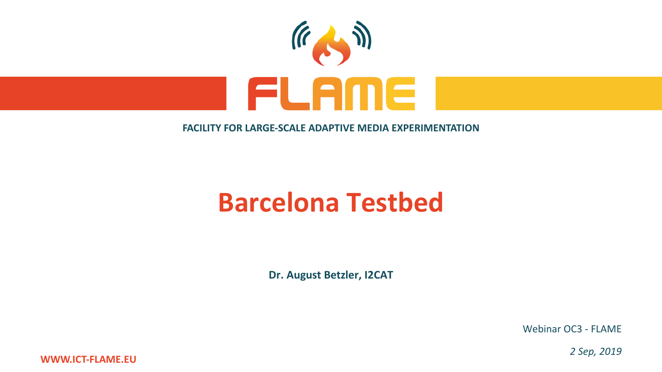

#### **FACILITY FOR LARGE-SCALE ADAPTIVE MEDIA EXPERIMENTATION**

# **Barcelona Testbed**

**Dr. August Betzler, I2CAT**

Webinar OC3 - FLAME

*2 Sep, 2019*

**WWW.ICT-FLAME.EU**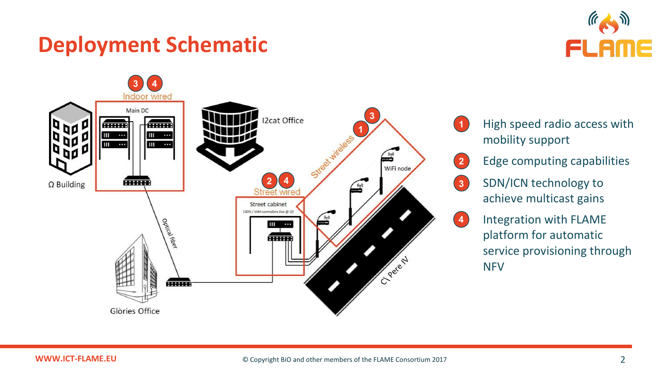#### **Deployment Schematic**





High speed radio access with mobility support **1**



- Edge computing capabilities
- SDN/ICN technology to achieve multicast gains **3**



4. Integration with FLAME platform for automatic service provisioning through **NFV**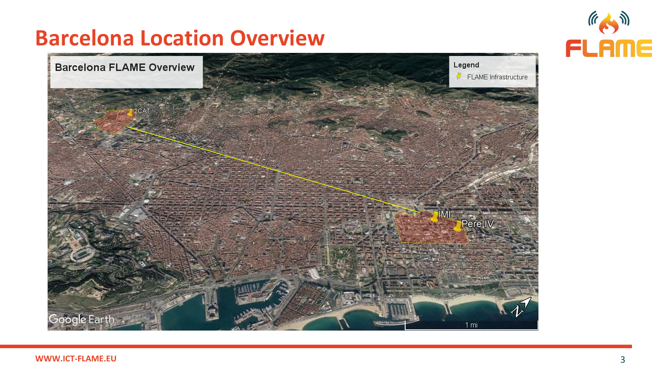#### **Barcelona Location Overview**



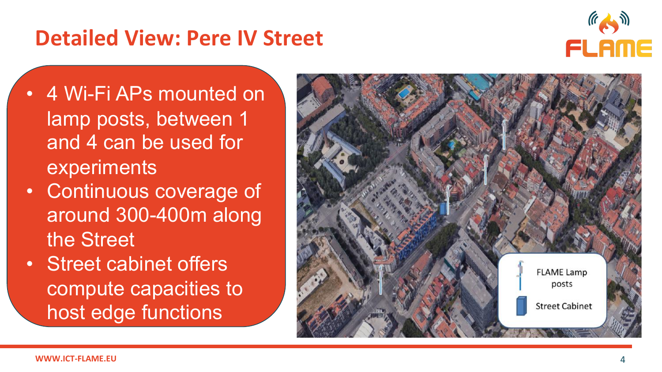#### **Detailed View: Pere IV Street**



- 4 Wi -Fi APs mounted on lamp posts, between 1 and 4 can be used for experiments
- Continuous coverage of around 300 -400m along the Street
- Street cabinet offers compute capacities to host edge functions

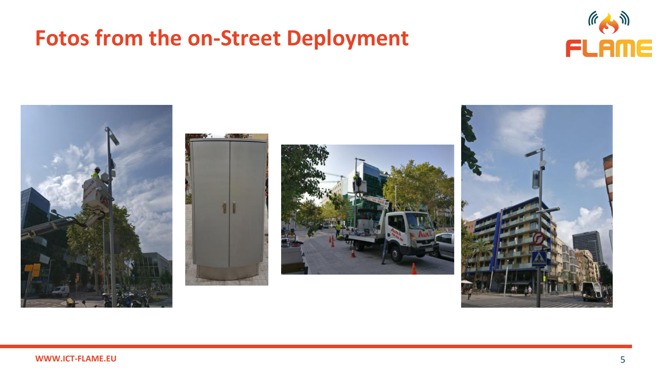#### **Fotos from the on-Street Deployment**



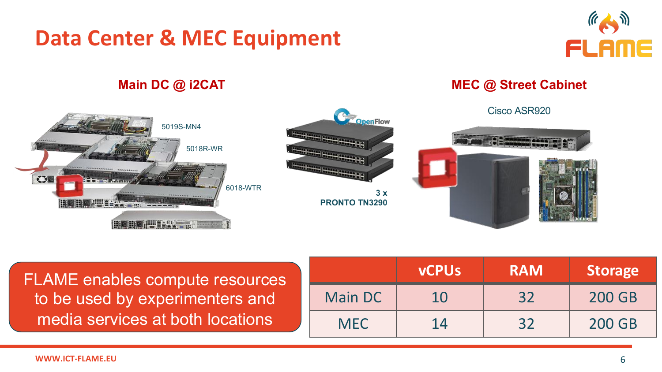### **Data Center & MEC Equipment**







FLAME enables compute resources to be used by experimenters and media services at both locations

|            | <b>vCPUs</b> | <b>RAM</b> | <b>Storage</b> |
|------------|--------------|------------|----------------|
| Main DC    | 10           | 32         | <b>200 GB</b>  |
| <b>MEC</b> | 14           | 32         | <b>200 GB</b>  |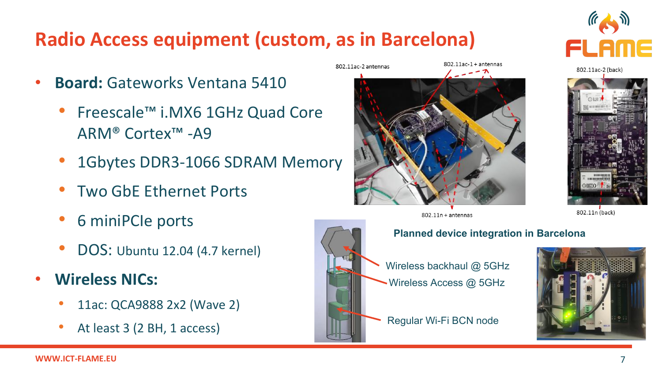#### **Radio Access equipment (custom, as in Barcelona)**

- **Board:** Gateworks Ventana 5410
	- Freescale™ i.MX6 1GHz Quad Core ARM® Cortex™ -A9
	- 1Gbytes DDR3-1066 SDRAM Memory
	- Two GbE Ethernet Ports
	- 6 miniPCIe ports
	- DOS: Ubuntu 12.04 (4.7 kernel)
- **Wireless NICs:**
	- 11ac: QCA9888 2x2 (Wave 2)
	- At least 3 (2 BH, 1 access)



802.11ac-2 antennas



 $802.11$ ac- $1+$ antennas

Wireless backhaul @ 5GHz Wireless Access @ 5GHz





802.11ac-2 (back)



802.11n (back)

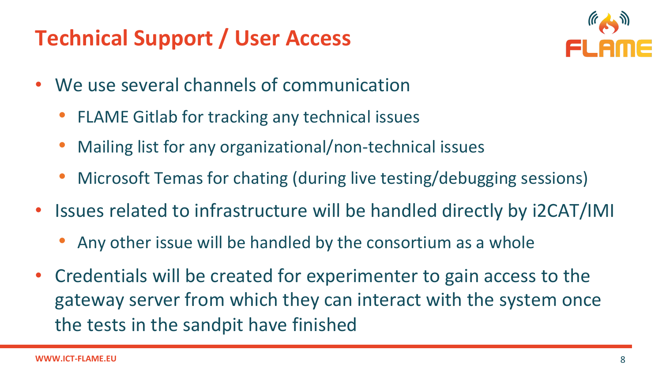## **Technical Support / User Access**



- We use several channels of communication
	- FLAME Gitlab for tracking any technical issues
	- Mailing list for any organizational/non-technical issues
	- Microsoft Temas for chating (during live testing/debugging sessions)
- Issues related to infrastructure will be handled directly by i2CAT/IMI
	- Any other issue will be handled by the consortium as a whole
- Credentials will be created for experimenter to gain access to the gateway server from which they can interact with the system once the tests in the sandpit have finished